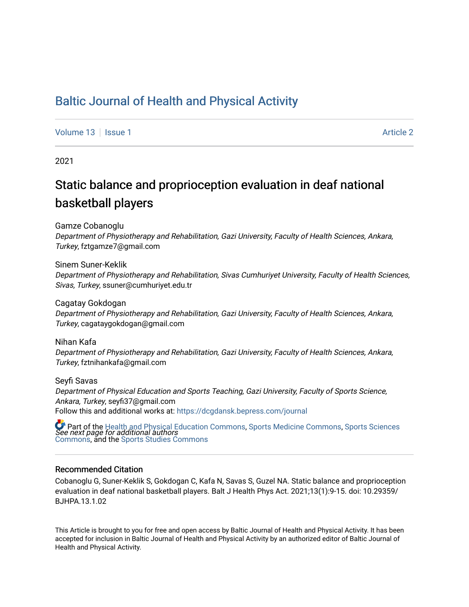# [Baltic Journal of Health and Physical Activity](https://dcgdansk.bepress.com/journal)

[Volume 13](https://dcgdansk.bepress.com/journal/vol13) | [Issue 1](https://dcgdansk.bepress.com/journal/vol13/iss1) [Article 2](https://dcgdansk.bepress.com/journal/vol13/iss1/2) Article 2 Article 2 Article 2 Article 2 Article 2 Article 2 Article 2 Article 2

2021

# Static balance and proprioception evaluation in deaf national basketball players

Gamze Cobanoglu

Department of Physiotherapy and Rehabilitation, Gazi University, Faculty of Health Sciences, Ankara, Turkey, fztgamze7@gmail.com

Sinem Suner-Keklik

Department of Physiotherapy and Rehabilitation, Sivas Cumhuriyet University, Faculty of Health Sciences, Sivas, Turkey, ssuner@cumhuriyet.edu.tr

Cagatay Gokdogan Department of Physiotherapy and Rehabilitation, Gazi University, Faculty of Health Sciences, Ankara, Turkey, cagataygokdogan@gmail.com

Nihan Kafa

Department of Physiotherapy and Rehabilitation, Gazi University, Faculty of Health Sciences, Ankara, Turkey, fztnihankafa@gmail.com

Seyfi Savas Department of Physical Education and Sports Teaching, Gazi University, Faculty of Sports Science, Ankara, Turkey, seyfi37@gmail.com Follow this and additional works at: [https://dcgdansk.bepress.com/journal](https://dcgdansk.bepress.com/journal?utm_source=dcgdansk.bepress.com%2Fjournal%2Fvol13%2Fiss1%2F2&utm_medium=PDF&utm_campaign=PDFCoverPages)

 $\bullet$  Part of the [Health and Physical Education Commons](http://network.bepress.com/hgg/discipline/1327?utm_source=dcgdansk.bepress.com%2Fjournal%2Fvol13%2Fiss1%2F2&utm_medium=PDF&utm_campaign=PDFCoverPages), [Sports Medicine Commons,](http://network.bepress.com/hgg/discipline/1331?utm_source=dcgdansk.bepress.com%2Fjournal%2Fvol13%2Fiss1%2F2&utm_medium=PDF&utm_campaign=PDFCoverPages) [Sports Sciences](http://network.bepress.com/hgg/discipline/759?utm_source=dcgdansk.bepress.com%2Fjournal%2Fvol13%2Fiss1%2F2&utm_medium=PDF&utm_campaign=PDFCoverPages)<br>*See next page for additional authors* [Commons](http://network.bepress.com/hgg/discipline/759?utm_source=dcgdansk.bepress.com%2Fjournal%2Fvol13%2Fiss1%2F2&utm_medium=PDF&utm_campaign=PDFCoverPages), and the [Sports Studies Commons](http://network.bepress.com/hgg/discipline/1198?utm_source=dcgdansk.bepress.com%2Fjournal%2Fvol13%2Fiss1%2F2&utm_medium=PDF&utm_campaign=PDFCoverPages) 

#### Recommended Citation

Cobanoglu G, Suner-Keklik S, Gokdogan C, Kafa N, Savas S, Guzel NA. Static balance and proprioception evaluation in deaf national basketball players. Balt J Health Phys Act. 2021;13(1):9-15. doi: 10.29359/ BJHPA.13.1.02

This Article is brought to you for free and open access by Baltic Journal of Health and Physical Activity. It has been accepted for inclusion in Baltic Journal of Health and Physical Activity by an authorized editor of Baltic Journal of Health and Physical Activity.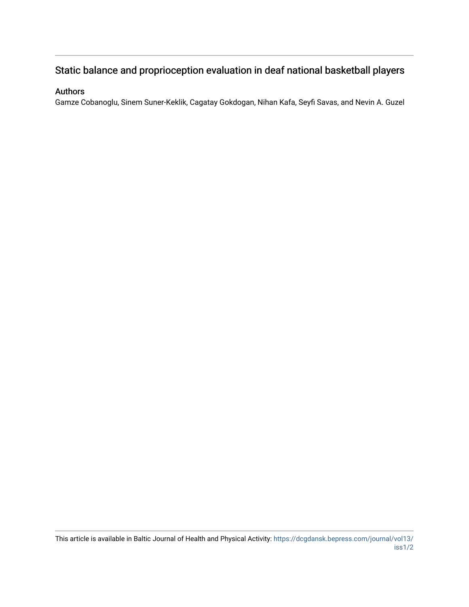# Static balance and proprioception evaluation in deaf national basketball players

# Authors

Gamze Cobanoglu, Sinem Suner-Keklik, Cagatay Gokdogan, Nihan Kafa, Seyfi Savas, and Nevin A. Guzel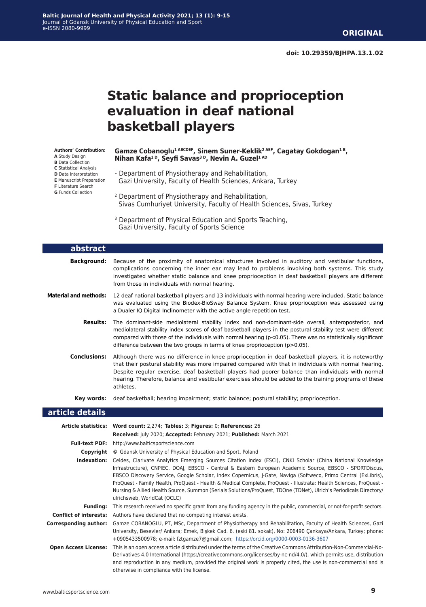# **Static balance and proprioception evaluation in deaf national basketball players**

**Authors' Contribution: A** Study Design **B** Data Collection **C** Statistical Analysis **D** Data Interpretation **E** Manuscript Preparation **F** Literature Search **G** Funds Collection

Gamze Cobanoglu<sup>1 ABCDEF</sup>, Sinem Suner-Keklik<sup>2 AEF</sup>, Cagatay Gokdogan<sup>1B</sup>, **Nihan Kafa1 D, Seyfi Savas3 D, Nevin A. Guzel1 AD**

- <sup>1</sup> Department of Physiotherapy and Rehabilitation, Gazi University, Faculty of Health Sciences, Ankara, Turkey
- 2 Department of Physiotherapy and Rehabilitation, Sivas Cumhuriyet University, Faculty of Health Sciences, Sivas, Turkey
- <sup>3</sup> Department of Physical Education and Sports Teaching, Gazi University, Faculty of Sports Science

| abstract                     |                                                                                                                                                                                                                                                                                                                                                                                                                                            |
|------------------------------|--------------------------------------------------------------------------------------------------------------------------------------------------------------------------------------------------------------------------------------------------------------------------------------------------------------------------------------------------------------------------------------------------------------------------------------------|
| <b>Background:</b>           | Because of the proximity of anatomical structures involved in auditory and vestibular functions,<br>complications concerning the inner ear may lead to problems involving both systems. This study<br>investigated whether static balance and knee proprioception in deaf basketball players are different<br>from those in individuals with normal hearing.                                                                               |
| <b>Material and methods:</b> | 12 deaf national basketball players and 13 individuals with normal hearing were included. Static balance<br>was evaluated using the Biodex-BioSway Balance System. Knee proprioception was assessed using<br>a Dualer IQ Digital Inclinometer with the active angle repetition test.                                                                                                                                                       |
| <b>Results:</b>              | The dominant-side mediolateral stability index and non-dominant-side overall, anteroposterior, and<br>mediolateral stability index scores of deaf basketball players in the postural stability test were different<br>compared with those of the individuals with normal hearing $(p<0.05)$ . There was no statistically significant<br>difference between the two groups in terms of knee proprioception $(p>0.05)$ .                     |
| <b>Conclusions:</b>          | Although there was no difference in knee proprioception in deaf basketball players, it is noteworthy<br>that their postural stability was more impaired compared with that in individuals with normal hearing.<br>Despite regular exercise, deaf basketball players had poorer balance than individuals with normal<br>hearing. Therefore, balance and vestibular exercises should be added to the training programs of these<br>athletes. |
| Key words:                   | deaf basketball; hearing impairment; static balance; postural stability; proprioception.                                                                                                                                                                                                                                                                                                                                                   |
| article details              |                                                                                                                                                                                                                                                                                                                                                                                                                                            |
|                              | Article statistics: Word count: 2,274; Tables: 3; Figures: 0; References: 26<br>Received: July 2020; Accepted: February 2021; Published: March 2021                                                                                                                                                                                                                                                                                        |
|                              | Eull-tayt DDE: http://www.halticcportecionco.com                                                                                                                                                                                                                                                                                                                                                                                           |

|                               | <b>Full-text PDF:</b> http://www.balticsportscience.com                                                                                                                                                                                                                                                                                                                                                                                                                                                                                                                                                            |
|-------------------------------|--------------------------------------------------------------------------------------------------------------------------------------------------------------------------------------------------------------------------------------------------------------------------------------------------------------------------------------------------------------------------------------------------------------------------------------------------------------------------------------------------------------------------------------------------------------------------------------------------------------------|
| Copyright                     | © Gdansk University of Physical Education and Sport, Poland                                                                                                                                                                                                                                                                                                                                                                                                                                                                                                                                                        |
| Indexation:                   | Celdes, Clarivate Analytics Emerging Sources Citation Index (ESCI), CNKI Scholar (China National Knowledge<br>Infrastructure), CNPIEC, DOAJ, EBSCO - Central & Eastern European Academic Source, EBSCO - SPORTDiscus,<br>EBSCO Discovery Service, Google Scholar, Index Copernicus, J-Gate, Naviga (Softweco, Primo Central (ExLibris),<br>ProQuest - Family Health, ProQuest - Health & Medical Complete, ProQuest - Illustrata: Health Sciences, ProQuest -<br>Nursing & Allied Health Source, Summon (Serials Solutions/ProQuest, TDOne (TDNet), Ulrich's Periodicals Directory/<br>ulrichsweb, WorldCat (OCLC) |
| Fundina:                      | This research received no specific grant from any funding agency in the public, commercial, or not-for-profit sectors.                                                                                                                                                                                                                                                                                                                                                                                                                                                                                             |
| <b>Conflict of interests:</b> | Authors have declared that no competing interest exists.                                                                                                                                                                                                                                                                                                                                                                                                                                                                                                                                                           |
| Corresponding author:         | Gamze COBANOGLU, PT, MSc, Department of Physiotherapy and Rehabilitation, Faculty of Health Sciences, Gazi<br>University, Besevler/ Ankara; Emek, Bişkek Cad. 6. (eski 81. sokak), No: 206490 Çankaya/Ankara, Turkey; phone:<br>+0905433500978; e-mail: fztgamze7@gmail.com; https://orcid.org/0000-0003-0136-3607                                                                                                                                                                                                                                                                                                 |
| <b>Open Access License:</b>   | This is an open access article distributed under the terms of the Creative Commons Attribution-Non-Commercial-No-<br>Derivatives 4.0 International (https://creativecommons.org/licenses/by-nc-nd/4.0/), which permits use, distribution<br>and reproduction in any medium, provided the original work is properly cited, the use is non-commercial and is<br>otherwise in compliance with the license.                                                                                                                                                                                                            |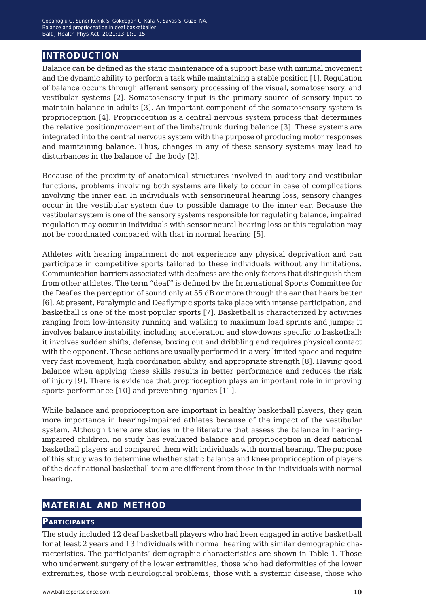## **introduction**

Balance can be defined as the static maintenance of a support base with minimal movement and the dynamic ability to perform a task while maintaining a stable position [1]. Regulation of balance occurs through afferent sensory processing of the visual, somatosensory, and vestibular systems [2]. Somatosensory input is the primary source of sensory input to maintain balance in adults [3]. An important component of the somatosensory system is proprioception [4]. Proprioception is a central nervous system process that determines the relative position/movement of the limbs/trunk during balance [3]. These systems are integrated into the central nervous system with the purpose of producing motor responses and maintaining balance. Thus, changes in any of these sensory systems may lead to disturbances in the balance of the body [2].

Because of the proximity of anatomical structures involved in auditory and vestibular functions, problems involving both systems are likely to occur in case of complications involving the inner ear. In individuals with sensorineural hearing loss, sensory changes occur in the vestibular system due to possible damage to the inner ear. Because the vestibular system is one of the sensory systems responsible for regulating balance, impaired regulation may occur in individuals with sensorineural hearing loss or this regulation may not be coordinated compared with that in normal hearing [5].

Athletes with hearing impairment do not experience any physical deprivation and can participate in competitive sports tailored to these individuals without any limitations. Communication barriers associated with deafness are the only factors that distinguish them from other athletes. The term "deaf" is defined by the International Sports Committee for the Deaf as the perception of sound only at 55 dB or more through the ear that hears better [6]. At present, Paralympic and Deaflympic sports take place with intense participation, and basketball is one of the most popular sports [7]. Basketball is characterized by activities ranging from low-intensity running and walking to maximum load sprints and jumps; it involves balance instability, including acceleration and slowdowns specific to basketball; it involves sudden shifts, defense, boxing out and dribbling and requires physical contact with the opponent. These actions are usually performed in a very limited space and require very fast movement, high coordination ability, and appropriate strength [8]. Having good balance when applying these skills results in better performance and reduces the risk of injury [9]. There is evidence that proprioception plays an important role in improving sports performance [10] and preventing injuries [11].

While balance and proprioception are important in healthy basketball players, they gain more importance in hearing-impaired athletes because of the impact of the vestibular system. Although there are studies in the literature that assess the balance in hearingimpaired children, no study has evaluated balance and proprioception in deaf national basketball players and compared them with individuals with normal hearing. The purpose of this study was to determine whether static balance and knee proprioception of players of the deaf national basketball team are different from those in the individuals with normal hearing.

# **material and method**

#### **Participants**

The study included 12 deaf basketball players who had been engaged in active basketball for at least 2 years and 13 individuals with normal hearing with similar demographic characteristics. The participants' demographic characteristics are shown in Table 1. Those who underwent surgery of the lower extremities, those who had deformities of the lower extremities, those with neurological problems, those with a systemic disease, those who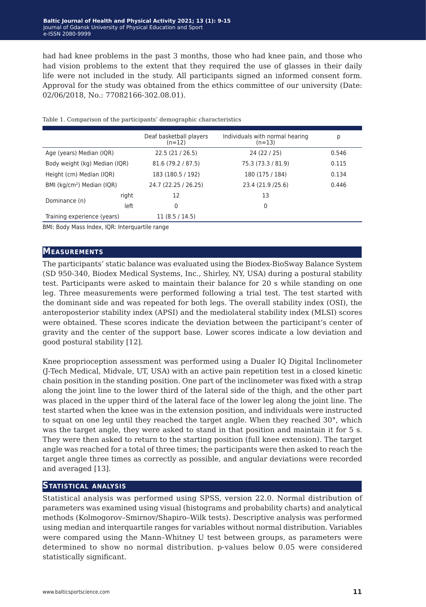had had knee problems in the past 3 months, those who had knee pain, and those who had vision problems to the extent that they required the use of glasses in their daily life were not included in the study. All participants signed an informed consent form. Approval for the study was obtained from the ethics committee of our university (Date: 02/06/2018, No.: 77082166-302.08.01).

|                                        |       | Deaf basketball players<br>$(n=12)$ | Individuals with normal hearing<br>$(n=13)$ | р     |
|----------------------------------------|-------|-------------------------------------|---------------------------------------------|-------|
| Age (years) Median (IQR)               |       | 22.5(21/26.5)                       | 24 (22 / 25)                                | 0.546 |
| Body weight (kg) Median (IQR)          |       | 81.6 (79.2 / 87.5)                  | 75.3 (73.3 / 81.9)                          | 0.115 |
| Height (cm) Median (IQR)               |       | 183 (180.5 / 192)                   | 180 (175 / 184)                             | 0.134 |
| BMI (kg/cm <sup>2</sup> ) Median (IQR) |       | 24.7 (22.25 / 26.25)                | 23.4 (21.9 / 25.6)                          | 0.446 |
| Dominance (n)                          | right | 12                                  | 13                                          |       |
|                                        | left  | 0                                   | 0                                           |       |
| Training experience (years)            |       | 11 (8.5 / 14.5)                     |                                             |       |

Table 1. Comparison of the participants' demographic characteristics

BMI: Body Mass Index, IOR: Interguartile range

#### **Measurements**

The participants' static balance was evaluated using the Biodex-BioSway Balance System (SD 950-340, Biodex Medical Systems, Inc., Shirley, NY, USA) during a postural stability test. Participants were asked to maintain their balance for 20 s while standing on one leg. Three measurements were performed following a trial test. The test started with the dominant side and was repeated for both legs. The overall stability index (OSI), the anteroposterior stability index (APSI) and the mediolateral stability index (MLSI) scores were obtained. These scores indicate the deviation between the participant's center of gravity and the center of the support base. Lower scores indicate a low deviation and good postural stability [12].

Knee proprioception assessment was performed using a Dualer IQ Digital Inclinometer (J-Tech Medical, Midvale, UT, USA) with an active pain repetition test in a closed kinetic chain position in the standing position. One part of the inclinometer was fixed with a strap along the joint line to the lower third of the lateral side of the thigh, and the other part was placed in the upper third of the lateral face of the lower leg along the joint line. The test started when the knee was in the extension position, and individuals were instructed to squat on one leg until they reached the target angle. When they reached 30°, which was the target angle, they were asked to stand in that position and maintain it for 5 s. They were then asked to return to the starting position (full knee extension). The target angle was reached for a total of three times; the participants were then asked to reach the target angle three times as correctly as possible, and angular deviations were recorded and averaged [13].

#### **Statistical analysis**

Statistical analysis was performed using SPSS, version 22.0. Normal distribution of parameters was examined using visual (histograms and probability charts) and analytical methods (Kolmogorov–Smirnov/Shapiro–Wilk tests). Descriptive analysis was performed using median and interquartile ranges for variables without normal distribution. Variables were compared using the Mann–Whitney U test between groups, as parameters were determined to show no normal distribution. p-values below 0.05 were considered statistically significant.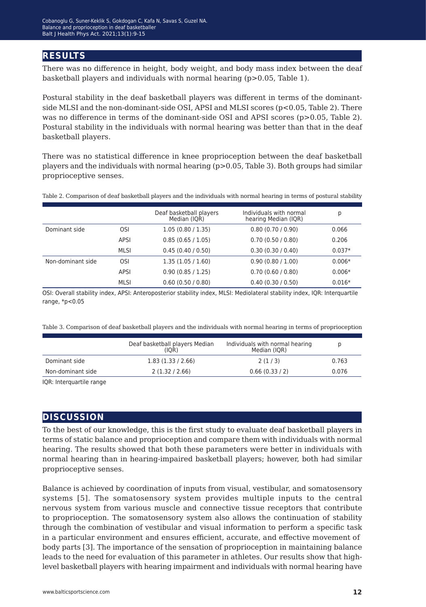## **results**

There was no difference in height, body weight, and body mass index between the deaf basketball players and individuals with normal hearing (p>0.05, Table 1).

Postural stability in the deaf basketball players was different in terms of the dominantside MLSI and the non-dominant-side OSI, APSI and MLSI scores (p<0.05, Table 2). There was no difference in terms of the dominant-side OSI and APSI scores (p>0.05, Table 2). Postural stability in the individuals with normal hearing was better than that in the deaf basketball players.

There was no statistical difference in knee proprioception between the deaf basketball players and the individuals with normal hearing  $(p>0.05,$  Table 3). Both groups had similar proprioceptive senses.

|                   |             | Deaf basketball players<br>Median (IQR) | Individuals with normal<br>hearing Median (IQR) | р        |
|-------------------|-------------|-----------------------------------------|-------------------------------------------------|----------|
| Dominant side     | <b>OSI</b>  | 1.05(0.80/1.35)                         | 0.80(0.70/0.90)                                 | 0.066    |
|                   | APSI        | 0.85(0.65/1.05)                         | 0.70(0.50/0.80)                                 | 0.206    |
|                   | <b>MLSI</b> | 0.45(0.40/0.50)                         | 0.30(0.30/0.40)                                 | $0.037*$ |
| Non-dominant side | <b>OSI</b>  | 1.35(1.05/1.60)                         | 0.90(0.80/1.00)                                 | $0.006*$ |
|                   | <b>APSI</b> | 0.90(0.85/1.25)                         | 0.70(0.60/0.80)                                 | $0.006*$ |
|                   | <b>MLSI</b> | 0.60(0.50/0.80)                         | 0.40(0.30/0.50)                                 | $0.016*$ |

Table 2. Comparison of deaf basketball players and the individuals with normal hearing in terms of postural stability

OSI: Overall stability index, APSI: Anteroposterior stability index, MLSI: Mediolateral stability index, IQR: Interquartile range, \*p<0.05

Table 3. Comparison of deaf basketball players and the individuals with normal hearing in terms of proprioception

|                   | Deaf basketball players Median<br>(IOR) | Individuals with normal hearing<br>Median (IOR) | D     |
|-------------------|-----------------------------------------|-------------------------------------------------|-------|
| Dominant side     | 1.83(1.33/2.66)                         | 2(1/3)                                          | 0.763 |
| Non-dominant side | 2(1.32/2.66)                            | 0.66(0.33/2)                                    | 0.076 |
|                   |                                         |                                                 |       |

IQR: Interquartile range

## **discussion**

To the best of our knowledge, this is the first study to evaluate deaf basketball players in terms of static balance and proprioception and compare them with individuals with normal hearing. The results showed that both these parameters were better in individuals with normal hearing than in hearing-impaired basketball players; however, both had similar proprioceptive senses.

Balance is achieved by coordination of inputs from visual, vestibular, and somatosensory systems [5]. The somatosensory system provides multiple inputs to the central nervous system from various muscle and connective tissue receptors that contribute to proprioception. The somatosensory system also allows the continuation of stability through the combination of vestibular and visual information to perform a specific task in a particular environment and ensures efficient, accurate, and effective movement of body parts [3]. The importance of the sensation of proprioception in maintaining balance leads to the need for evaluation of this parameter in athletes. Our results show that highlevel basketball players with hearing impairment and individuals with normal hearing have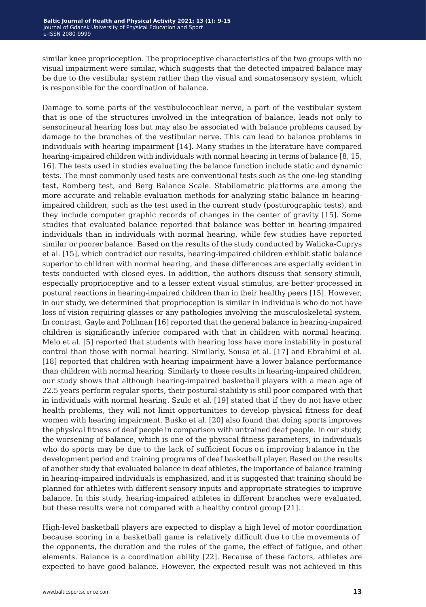similar knee proprioception. The proprioceptive characteristics of the two groups with no visual impairment were similar, which suggests that the detected impaired balance may be due to the vestibular system rather than the visual and somatosensory system, which is responsible for the coordination of balance.

Damage to some parts of the vestibulocochlear nerve, a part of the vestibular system that is one of the structures involved in the integration of balance, leads not only to sensorineural hearing loss but may also be associated with balance problems caused by damage to the branches of the vestibular nerve. This can lead to balance problems in individuals with hearing impairment [14]. Many studies in the literature have compared hearing-impaired children with individuals with normal hearing in terms of balance [8, 15, 16]. The tests used in studies evaluating the balance function include static and dynamic tests. The most commonly used tests are conventional tests such as the one-leg standing test, Romberg test, and Berg Balance Scale. Stabilometric platforms are among the more accurate and reliable evaluation methods for analyzing static balance in hearingimpaired children, such as the test used in the current study (posturographic tests), and they include computer graphic records of changes in the center of gravity [15]. Some studies that evaluated balance reported that balance was better in hearing-impaired individuals than in individuals with normal hearing, while few studies have reported similar or poorer balance. Based on the results of the study conducted by Walicka-Cuprys et al. [15], which contradict our results, hearing-impaired children exhibit static balance superior to children with normal hearing, and these differences are especially evident in tests conducted with closed eyes. In addition, the authors discuss that sensory stimuli, especially proprioceptive and to a lesser extent visual stimulus, are better processed in postural reactions in hearing-impaired children than in their healthy peers [15]. However, in our study, we determined that proprioception is similar in individuals who do not have loss of vision requiring glasses or any pathologies involving the musculoskeletal system. In contrast, Gayle and Pohlman [16] reported that the general balance in hearing-impaired children is significantly inferior compared with that in children with normal hearing. Melo et al. [5] reported that students with hearing loss have more instability in postural control than those with normal hearing. Similarly, Sousa et al. [17] and Ebrahimi et al. [18] reported that children with hearing impairment have a lower balance performance than children with normal hearing. Similarly to these results in hearing-impaired children, our study shows that although hearing-impaired basketball players with a mean age of 22.5 years perform regular sports, their postural stability is still poor compared with that in individuals with normal hearing. Szulc et al. [19] stated that if they do not have other health problems, they will not limit opportunities to develop physical fitness for deaf women with hearing impairment. Buśko et al. [20] also found that doing sports improves the physical fitness of deaf people in comparison with untrained deaf people. In our study, the worsening of balance, which is one of the physical fitness parameters, in individuals who do sports may be due to the lack of sufficient focus on improving balance in the development period and training programs of deaf basketball player. Based on the results of another study that evaluated balance in deaf athletes, the importance of balance training in hearing-impaired individuals is emphasized, and it is suggested that training should be planned for athletes with different sensory inputs and appropriate strategies to improve balance. In this study, hearing-impaired athletes in different branches were evaluated, but these results were not compared with a healthy control group [21].

High-level basketball players are expected to display a high level of motor coordination because scoring in a basketball game is relatively difficult due to the movements of the opponents, the duration and the rules of the game, the effect of fatigue, and other elements. Balance is a coordination ability [22]. Because of these factors, athletes are expected to have good balance. However, the expected result was not achieved in this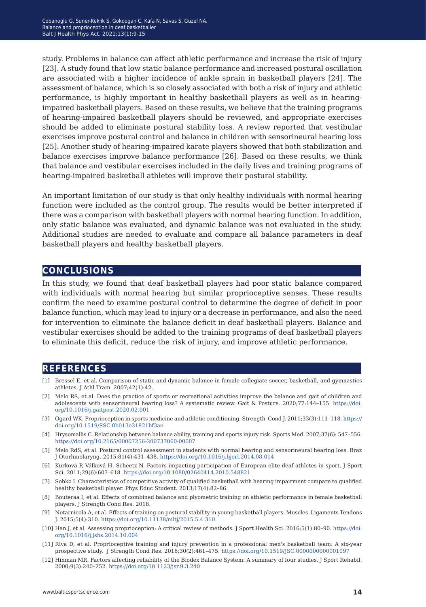study. Problems in balance can affect athletic performance and increase the risk of injury [23]. A study found that low static balance performance and increased postural oscillation are associated with a higher incidence of ankle sprain in basketball players [24]. The assessment of balance, which is so closely associated with both a risk of injury and athletic performance, is highly important in healthy basketball players as well as in hearingimpaired basketball players. Based on these results, we believe that the training programs of hearing-impaired basketball players should be reviewed, and appropriate exercises should be added to eliminate postural stability loss. A review reported that vestibular exercises improve postural control and balance in children with sensorineural hearing loss [25]. Another study of hearing-impaired karate players showed that both stabilization and balance exercises improve balance performance [26]. Based on these results, we think that balance and vestibular exercises included in the daily lives and training programs of hearing-impaired basketball athletes will improve their postural stability.

An important limitation of our study is that only healthy individuals with normal hearing function were included as the control group. The results would be better interpreted if there was a comparison with basketball players with normal hearing function. In addition, only static balance was evaluated, and dynamic balance was not evaluated in the study. Additional studies are needed to evaluate and compare all balance parameters in deaf basketball players and healthy basketball players.

### **conclusions**

In this study, we found that deaf basketball players had poor static balance compared with individuals with normal hearing but similar proprioceptive senses. These results confirm the need to examine postural control to determine the degree of deficit in poor balance function, which may lead to injury or a decrease in performance, and also the need for intervention to eliminate the balance deficit in deaf basketball players. Balance and vestibular exercises should be added to the training programs of deaf basketball players to eliminate this deficit, reduce the risk of injury, and improve athletic performance.

## **references**

- [1] Bressel E, et al. Comparison of static and dynamic balance in female collegiate soccer, basketball, and gymnastics athletes. J Athl Train. 2007;42(1):42.
- [2] Melo RS, et al. Does the practice of sports or recreational activities improve the balance and gait of children and adolescents with sensorineural hearing loss? A systematic review. Gait & Posture. 2020;77:144–155. [https://doi.](https://doi.org/10.1016/j.gaitpost.2020.02.001) [org/10.1016/j.gaitpost.2020.02.001](https://doi.org/10.1016/j.gaitpost.2020.02.001)
- [3] Ogard WK. Proprioception in sports medicine and athletic conditioning. Strength Cond J. 2011;33(3):111–118. [https://](https://doi.org/10.1519/SSC.0b013e31821bf3ae ) [doi.org/10.1519/SSC.0b013e31821bf3ae](https://doi.org/10.1519/SSC.0b013e31821bf3ae )
- [4] Hrysomallis C. Relationship between balance ability, training and sports injury risk. Sports Med. 2007;37(6): 547–556. <https://doi.org/10.2165/00007256-200737060-00007>
- [5] Melo RdS, et al. Postural control assessment in students with normal hearing and sensorineural hearing loss. Braz J Otorhinolaryng. 2015;81(4):431–438.<https://doi.org/10.1016/j.bjorl.2014.08.014>
- [6] Kurková P, Válková H, Scheetz N. Factors impacting participation of European elite deaf athletes in sport. J Sport Sci. 2011;29(6):607–618. <https://doi.org/10.1080/02640414.2010.548821>
- [7] Sobko I. Characteristics of competitive activity of qualified basketball with hearing impairment compare to qualified healthy basketball player. Phys Educ Student. 2013;17(4):82–86.
- [8] Bouteraa I, et al. Effects of combined balance and plyometric training on athletic performance in female basketball players. J Strength Cond Res. 2018.
- [9] Notarnicola A, et al. Effects of training on postural stability in young basketball players. Muscles Ligaments Tendons J. 2015;5(4):310. <https://doi.org/10.11138/mltj/2015.5.4.310>
- [10] Han J, et al. Assessing proprioception: A critical review of methods. J Sport Health Sci. 2016;5(1):80–90. [https://doi.](https://doi.org/10.1016/j.jshs.2014.10.004 ) [org/10.1016/j.jshs.2014.10.004](https://doi.org/10.1016/j.jshs.2014.10.004 )
- [11] Riva D, et al. Proprioceptive training and injury prevention in a professional men's basketball team: A six-year prospective study. J Strength Cond Res. 2016;30(2):461–475. <https://doi.org/10.1519/JSC.0000000000001097>
- [12] Hinman MR. Factors affecting reliability of the Biodex Balance System: A summary of four studies. J Sport Rehabil. 2000;9(3):240–252. <https://doi.org/10.1123/jsr.9.3.240>